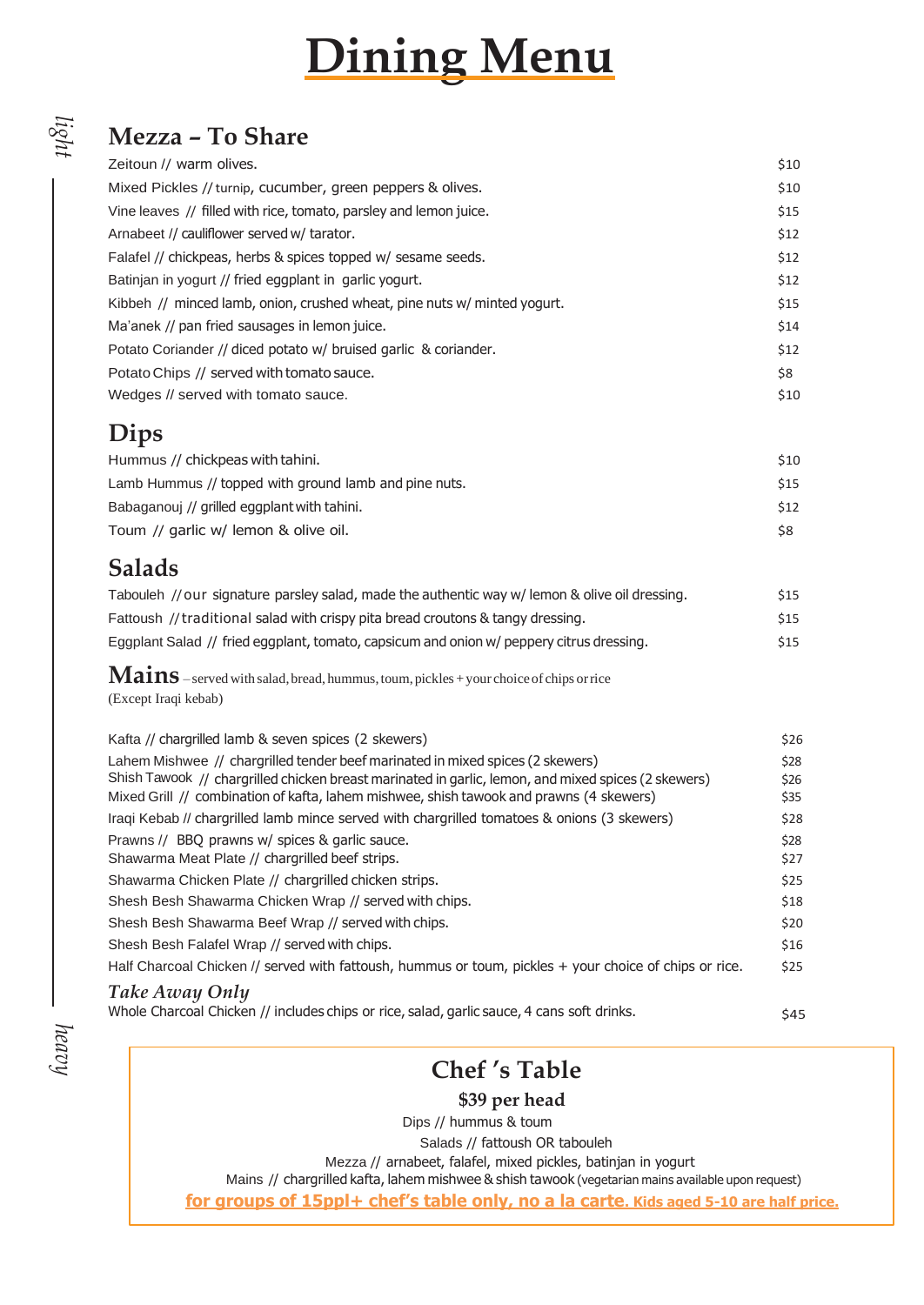# **Dining Menu**

## **Mezza – To Share**

| Zeitoun // warm olives.                                                  | \$10 |
|--------------------------------------------------------------------------|------|
| Mixed Pickles // turnip, cucumber, green peppers & olives.               | \$10 |
| Vine leaves // filled with rice, tomato, parsley and lemon juice.        | \$15 |
| Arnabeet // cauliflower served w/ tarator.                               | \$12 |
| Falafel // chickpeas, herbs & spices topped w/ sesame seeds.             | \$12 |
| Batinjan in yogurt // fried eggplant in garlic yogurt.                   | \$12 |
| Kibbeh // minced lamb, onion, crushed wheat, pine nuts w/ minted yogurt. | \$15 |
| Ma'anek // pan fried sausages in lemon juice.                            | \$14 |
| Potato Coriander // diced potato w/ bruised garlic & coriander.          | \$12 |
| Potato Chips // served with tomato sauce.                                | \$8  |
| Wedges // served with tomato sauce.                                      | \$10 |
|                                                                          |      |

#### **Dips**

*light*

| Hummus // chickpeas with tahini.                      | \$10       |
|-------------------------------------------------------|------------|
| Lamb Hummus // topped with ground lamb and pine nuts. | \$15       |
| Babaganouj // grilled eggplant with tahini.           | <b>S12</b> |
| Toum // garlic w/ lemon & olive oil.                  | \$8        |

## **Salads**

| Tabouleh // our signature parsley salad, made the authentic way w/ lemon & olive oil dressing. | \$15 |
|------------------------------------------------------------------------------------------------|------|
| Fattoush // traditional salad with crispy pita bread croutons & tangy dressing.                | \$15 |
| Eggplant Salad // fried eggplant, tomato, capsicum and onion w/ peppery citrus dressing.       | \$15 |

**Mains** –served with salad,bread, hummus,toum, pickles +your choiceof chips orrice (Except Iraqi kebab)

| Kafta // chargrilled lamb & seven spices (2 skewers)                                                   | \$26 |
|--------------------------------------------------------------------------------------------------------|------|
| Lahem Mishwee // chargrilled tender beef marinated in mixed spices (2 skewers)                         | \$28 |
| Shish Tawook // chargrilled chicken breast marinated in garlic, lemon, and mixed spices (2 skewers)    | \$26 |
| Mixed Grill // combination of kafta, lahem mishwee, shish tawook and prawns (4 skewers)                | \$35 |
| Iragi Kebab // chargrilled lamb mince served with chargrilled tomatoes & onions (3 skewers)            | \$28 |
| Prawns // BBQ prawns w/ spices & garlic sauce.                                                         | \$28 |
| Shawarma Meat Plate // chargrilled beef strips.                                                        | \$27 |
| Shawarma Chicken Plate // chargrilled chicken strips.                                                  | \$25 |
| Shesh Besh Shawarma Chicken Wrap // served with chips.                                                 | \$18 |
| Shesh Besh Shawarma Beef Wrap // served with chips.                                                    | \$20 |
| Shesh Besh Falafel Wrap // served with chips.                                                          | \$16 |
| Half Charcoal Chicken // served with fattoush, hummus or toum, pickles + your choice of chips or rice. | \$25 |
| <b>Take Away Only</b>                                                                                  |      |
| Whole Charcoal Chicken // includes chips or rice, salad, garlic sauce, 4 cans soft drinks.             | \$45 |

## **Chef 's Table**

**\$39 per head** 

Dips // hummus & toum

Salads // fattoush OR tabouleh

Mezza // arnabeet, falafel, mixed pickles, batinjan in yogurt

Mains // chargrilled kafta, lahem mishwee & shish tawook (vegetarian mains available upon request)

**for groups of 15ppl+ chef's table only, no a la carte. Kids aged 5-10 are half price.**